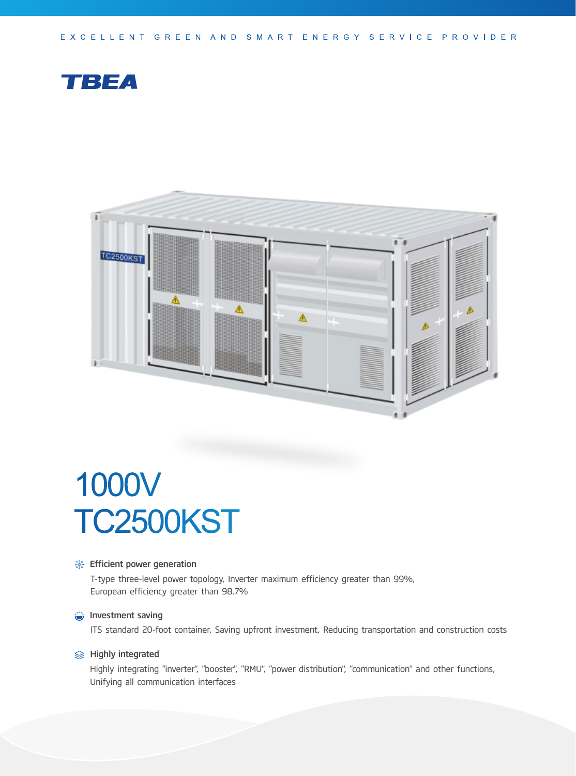EXCELLENT GREEN AND SMART ENERGY SERVICE PROVIDER





# 1000V TC2500KST

#### **Solutions**: Efficient power generation

T-type three-level power topology, Inverter maximum efficiency greater than 99%, European efficiency greater than 98.7%

#### **Investment saving**

ITS standard 20-foot container, Saving upfront investment, Reducing transportation and construction costs

#### **<del>
</del>**  Highly integrated

Highly integrating "inverter", "booster", "RMU", "power distribution", "communication" and other functions, Unifying all communication interfaces